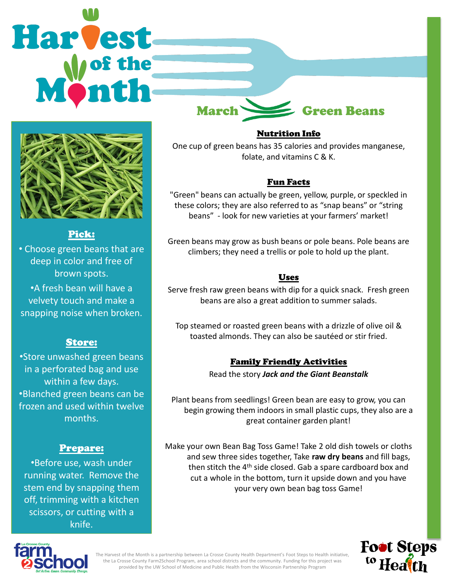# **Harvest**



# Pick:

• Choose green beans that are deep in color and free of brown spots.

•A fresh bean will have a velvety touch and make a snapping noise when broken.

# Store:

•Store unwashed green beans in a perforated bag and use within a few days. •Blanched green beans can be frozen and used within twelve months.

### Prepare:

•Before use, wash under running water. Remove the stem end by snapping them off, trimming with a kitchen scissors, or cutting with a knife.

March Green Beans

### Nutrition Info

One cup of green beans has 35 calories and provides manganese, folate, and vitamins C & K.

## Fun Facts

"Green" beans can actually be green, yellow, purple, or speckled in these colors; they are also referred to as "snap beans" or "string beans" - look for new varieties at your farmers' market!

Green beans may grow as bush beans or pole beans. Pole beans are climbers; they need a trellis or pole to hold up the plant.

## Uses

Serve fresh raw green beans with dip for a quick snack. Fresh green beans are also a great addition to summer salads.

Top steamed or roasted green beans with a drizzle of olive oil & toasted almonds. They can also be sautéed or stir fried.

# Family Friendly Activities

Read the story *Jack and the Giant Beanstalk*

Plant beans from seedlings! Green bean are easy to grow, you can begin growing them indoors in small plastic cups, they also are a great container garden plant!

Make your own Bean Bag Toss Game! Take 2 old dish towels or cloths and sew three sides together, Take **raw dry beans** and fill bags, then stitch the 4<sup>th</sup> side closed. Gab a spare cardboard box and cut a whole in the bottom, turn it upside down and you have your very own bean bag toss Game!





The Harvest of the Month is a partnership between La Crosse County Health Department's Foot Steps to Health initiative, the La Crosse County Farm2School Program, area school districts and the community. Funding for this project was provided by the UW School of Medicine and Public Health from the Wisconsin Partnership Program